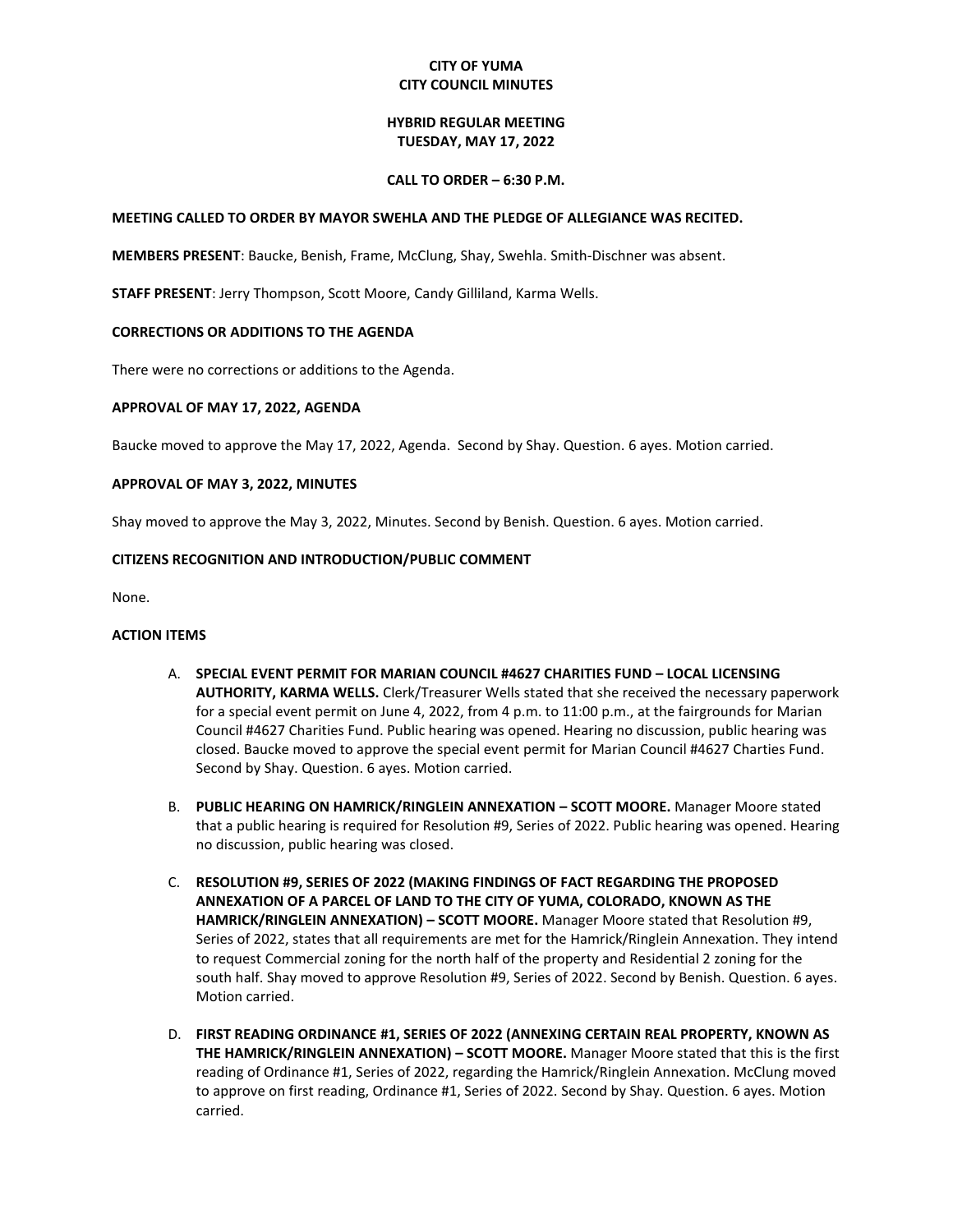# **CITY OF YUMA CITY COUNCIL MINUTES**

## **HYBRID REGULAR MEETING TUESDAY, MAY 17, 2022**

### **CALL TO ORDER – 6:30 P.M.**

### **MEETING CALLED TO ORDER BY MAYOR SWEHLA AND THE PLEDGE OF ALLEGIANCE WAS RECITED.**

**MEMBERS PRESENT**: Baucke, Benish, Frame, McClung, Shay, Swehla. Smith-Dischner was absent.

**STAFF PRESENT**: Jerry Thompson, Scott Moore, Candy Gilliland, Karma Wells.

## **CORRECTIONS OR ADDITIONS TO THE AGENDA**

There were no corrections or additions to the Agenda.

## **APPROVAL OF MAY 17, 2022, AGENDA**

Baucke moved to approve the May 17, 2022, Agenda. Second by Shay. Question. 6 ayes. Motion carried.

## **APPROVAL OF MAY 3, 2022, MINUTES**

Shay moved to approve the May 3, 2022, Minutes. Second by Benish. Question. 6 ayes. Motion carried.

## **CITIZENS RECOGNITION AND INTRODUCTION/PUBLIC COMMENT**

None.

#### **ACTION ITEMS**

- A. **SPECIAL EVENT PERMIT FOR MARIAN COUNCIL #4627 CHARITIES FUND – LOCAL LICENSING AUTHORITY, KARMA WELLS.** Clerk/Treasurer Wells stated that she received the necessary paperwork for a special event permit on June 4, 2022, from 4 p.m. to 11:00 p.m., at the fairgrounds for Marian Council #4627 Charities Fund. Public hearing was opened. Hearing no discussion, public hearing was closed. Baucke moved to approve the special event permit for Marian Council #4627 Charties Fund. Second by Shay. Question. 6 ayes. Motion carried.
- B. **PUBLIC HEARING ON HAMRICK/RINGLEIN ANNEXATION – SCOTT MOORE.** Manager Moore stated that a public hearing is required for Resolution #9, Series of 2022. Public hearing was opened. Hearing no discussion, public hearing was closed.
- C. **RESOLUTION #9, SERIES OF 2022 (MAKING FINDINGS OF FACT REGARDING THE PROPOSED ANNEXATION OF A PARCEL OF LAND TO THE CITY OF YUMA, COLORADO, KNOWN AS THE HAMRICK/RINGLEIN ANNEXATION) – SCOTT MOORE.** Manager Moore stated that Resolution #9, Series of 2022, states that all requirements are met for the Hamrick/Ringlein Annexation. They intend to request Commercial zoning for the north half of the property and Residential 2 zoning for the south half. Shay moved to approve Resolution #9, Series of 2022. Second by Benish. Question. 6 ayes. Motion carried.
- D. **FIRST READING ORDINANCE #1, SERIES OF 2022 (ANNEXING CERTAIN REAL PROPERTY, KNOWN AS THE HAMRICK/RINGLEIN ANNEXATION) – SCOTT MOORE.** Manager Moore stated that this is the first reading of Ordinance #1, Series of 2022, regarding the Hamrick/Ringlein Annexation. McClung moved to approve on first reading, Ordinance #1, Series of 2022. Second by Shay. Question. 6 ayes. Motion carried.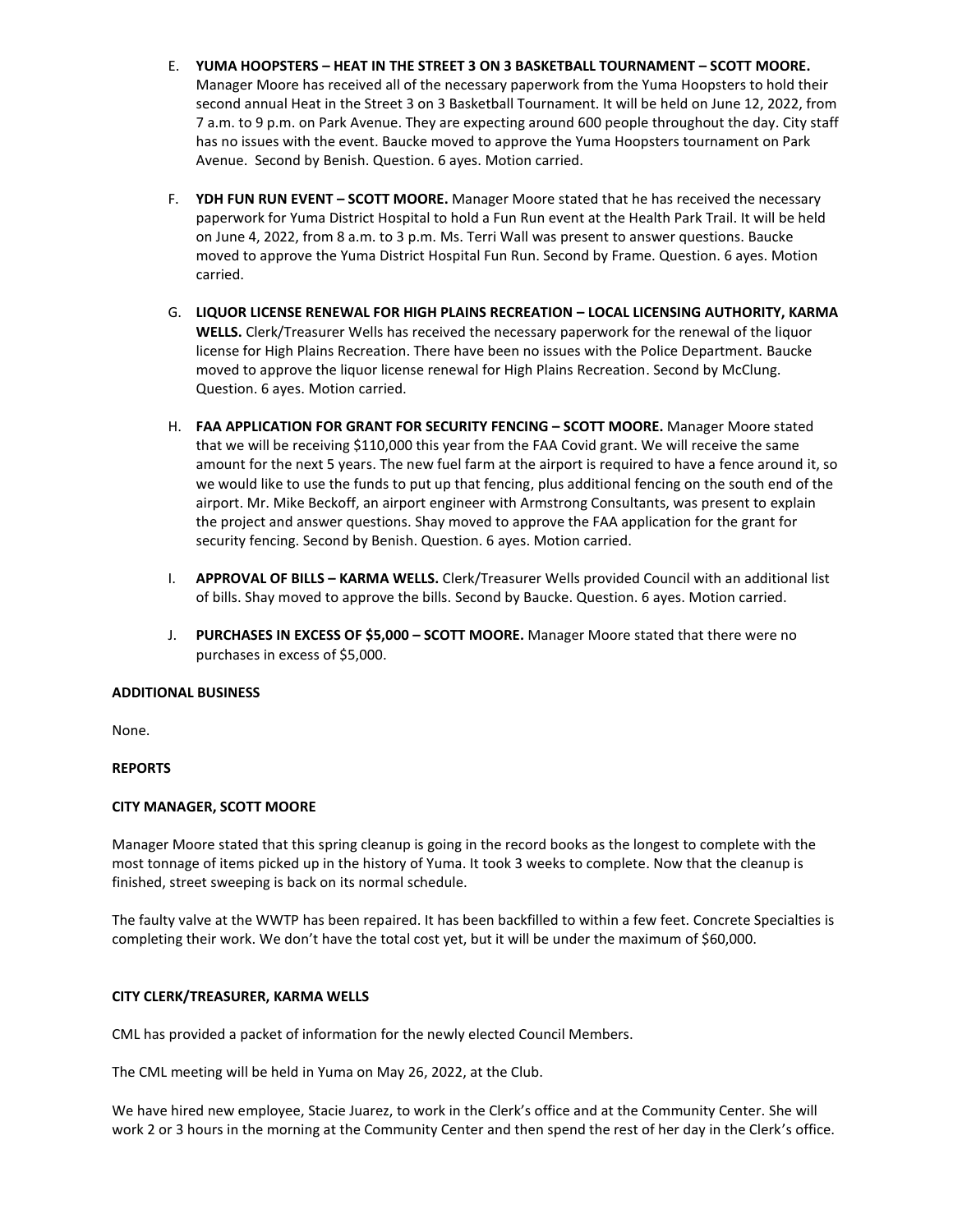- E. **YUMA HOOPSTERS – HEAT IN THE STREET 3 ON 3 BASKETBALL TOURNAMENT – SCOTT MOORE.** Manager Moore has received all of the necessary paperwork from the Yuma Hoopsters to hold their second annual Heat in the Street 3 on 3 Basketball Tournament. It will be held on June 12, 2022, from 7 a.m. to 9 p.m. on Park Avenue. They are expecting around 600 people throughout the day. City staff has no issues with the event. Baucke moved to approve the Yuma Hoopsters tournament on Park Avenue. Second by Benish. Question. 6 ayes. Motion carried.
- F. **YDH FUN RUN EVENT – SCOTT MOORE.** Manager Moore stated that he has received the necessary paperwork for Yuma District Hospital to hold a Fun Run event at the Health Park Trail. It will be held on June 4, 2022, from 8 a.m. to 3 p.m. Ms. Terri Wall was present to answer questions. Baucke moved to approve the Yuma District Hospital Fun Run. Second by Frame. Question. 6 ayes. Motion carried.
- G. **LIQUOR LICENSE RENEWAL FOR HIGH PLAINS RECREATION – LOCAL LICENSING AUTHORITY, KARMA WELLS.** Clerk/Treasurer Wells has received the necessary paperwork for the renewal of the liquor license for High Plains Recreation. There have been no issues with the Police Department. Baucke moved to approve the liquor license renewal for High Plains Recreation. Second by McClung. Question. 6 ayes. Motion carried.
- H. **FAA APPLICATION FOR GRANT FOR SECURITY FENCING – SCOTT MOORE.** Manager Moore stated that we will be receiving \$110,000 this year from the FAA Covid grant. We will receive the same amount for the next 5 years. The new fuel farm at the airport is required to have a fence around it, so we would like to use the funds to put up that fencing, plus additional fencing on the south end of the airport. Mr. Mike Beckoff, an airport engineer with Armstrong Consultants, was present to explain the project and answer questions. Shay moved to approve the FAA application for the grant for security fencing. Second by Benish. Question. 6 ayes. Motion carried.
- I. **APPROVAL OF BILLS – KARMA WELLS.** Clerk/Treasurer Wells provided Council with an additional list of bills. Shay moved to approve the bills. Second by Baucke. Question. 6 ayes. Motion carried.
- J. **PURCHASES IN EXCESS OF \$5,000 – SCOTT MOORE.** Manager Moore stated that there were no purchases in excess of \$5,000.

# **ADDITIONAL BUSINESS**

None.

# **REPORTS**

# **CITY MANAGER, SCOTT MOORE**

Manager Moore stated that this spring cleanup is going in the record books as the longest to complete with the most tonnage of items picked up in the history of Yuma. It took 3 weeks to complete. Now that the cleanup is finished, street sweeping is back on its normal schedule.

The faulty valve at the WWTP has been repaired. It has been backfilled to within a few feet. Concrete Specialties is completing their work. We don't have the total cost yet, but it will be under the maximum of \$60,000.

#### **CITY CLERK/TREASURER, KARMA WELLS**

CML has provided a packet of information for the newly elected Council Members.

The CML meeting will be held in Yuma on May 26, 2022, at the Club.

We have hired new employee, Stacie Juarez, to work in the Clerk's office and at the Community Center. She will work 2 or 3 hours in the morning at the Community Center and then spend the rest of her day in the Clerk's office.